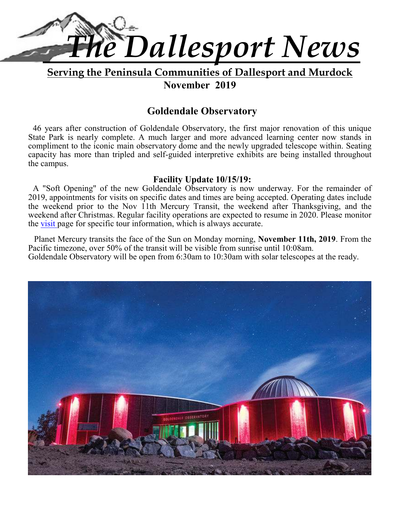

**Serving the Peninsula Communities of Dallesport and Murdock**

**November 2019** 

## **Goldendale Observatory**

46 years after construction of Goldendale Observatory, the first major renovation of this unique State Park is nearly complete. A much larger and more advanced learning center now stands in compliment to the iconic main observatory dome and the newly upgraded telescope within. Seating capacity has more than tripled and self-guided interpretive exhibits are being installed throughout the campus.

## **Facility Update 10/15/19:**

A "Soft Opening" of the new Goldendale Observatory is now underway. For the remainder of 2019, appointments for visits on specific dates and times are being accepted. Operating dates include the weekend prior to the Nov 11th Mercury Transit, the weekend after Thanksgiving, and the weekend after Christmas. Regular facility operations are expected to resume in 2020. Please monitor the visit page for specific tour information, which is always accurate.

 Planet Mercury transits the face of the Sun on Monday morning, **November 11th, 2019**. From the Pacific timezone, over 50% of the transit will be visible from sunrise until 10:08am. Goldendale Observatory will be open from 6:30am to 10:30am with solar telescopes at the ready.

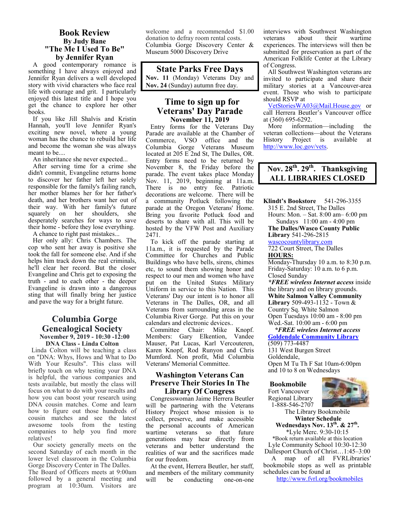#### **Book Review By Judy Bane "The Me I Used To Be" by Jennifer Ryan**

A good contemporary romance is something I have always enjoyed and Jennifer Ryan delivers a well developed story with vivid characters who face real life with courage and grit. I particularly enjoyed this latest title and I hope you get the chance to explore her other books.

If you like Jill Shalvis and Kristin Hannah, you'll love Jennifer Ryan's exciting new novel, where a young woman has the chance to rebuild her life and become the woman she was always meant to be....

An inheritance she never expected...

After serving time for a crime she didn't commit, Evangeline returns home to discover her father left her solely responsible for the family's failing ranch, her mother blames her for her father's death, and her brothers want her out of their way. With her family's future squarely on her shoulders, she desperately searches for ways to save their home - before they lose everything. A chance to right past mistakes...

Her only ally: Chris Chambers. The cop who sent her away is positive she took the fall for someone else. And if she helps him track down the real criminals. he'll clear her record. But the closer Evangeline and Chris get to exposing the truth - and to each other - the deeper Evangeline is drawn into a dangerous sting that will finally bring her justice and pave the way for a bright future.

#### **Columbia Gorge Genealogical Society November 9, 2019 - 10:30 -12:00 DNA Class - Linda Colton**

 Linda Colton will be teaching a class on "DNA: Whys, Hows and What to Do With Your Results". This class will briefly touch on why testing your DNA is helpful, the various companies and tests available, but mostly the class will focus on what to do with your results and how you can boost your research using DNA cousin matches. Come and learn how to figure out those hundreds of cousin matches and see the latest awesome tools from the testing companies to help you find more relatives!

 Our society generally meets on the second Saturday of each month in the lower level classroom in the Columbia Gorge Discovery Center in The Dalles. The Board of Officers meets at 9:00am followed by a general meeting and program at 10:30am. Visitors are

welcome and a recommended \$1.00 donation to defray room rental costs. Columbia Gorge Discovery Center & Museum 5000 Discovery Drive

**State Parks Free Days Nov. 11** (Monday) Veterans Day and **Nov. 24** (Sunday) autumn free day.

#### **Time to sign up for Veterans' Day Parade November 11, 2019**

Entry forms for the Veterans Day Parade are available at the Chamber of Commerce, VSO office and the Columbia Gorge Veterans Museum located at 205 E 2nd St, The Dalles, OR. Entry forms need to be returned by November 8, the Friday before the parade. The event takes place Monday Nov. 11, 2019, beginning at 11a.m. There is no entry fee. Patriotic decorations are welcome. There will be a community Potluck following the parade at the Oregon Veterans' Home. Bring you favorite Potluck food and deserts to share with all. This will be hosted by the VFW Post and Auxiliary 2471.

To kick off the parade starting at 11a.m., it is requested by the Parade Committee for Churches and Public Buildings who have bells, sirens, chimes etc, to sound them showing honor and respect to our men and women who have put on the United States Military Uniform in service to this Nation. This Veterans' Day our intent is to honor all Veterans in The Dalles, OR, and all Veterans from surrounding areas in the Columbia River Gorge. Put this on your calendars and electronic devices..

Committee Chair: Mike Knopf. Members: Gary Elkention, Vandee Mauser, Pat Lucas, Karl Vercouteren, Karen Knopf, Rod Runyon and Chris Mumford. Non profit, Mid Columbia Veterans' Memorial Committee.

#### **Washington Veterans Can Preserve Their Stories In The Library Of Congress**

Congresswoman Jaime Herrera Beutler will be partnering with the Veterans History Project whose mission is to collect, preserve, and make accessible the personal accounts of American wartime veterans so that future generations may hear directly from veterans and better understand the realities of war and the sacrifices made for our freedom.

At the event, Herrera Beutler, her staff, and members of the military community will be conducting one-on-one interviews with Southwest Washington veterans about their wartime experiences. The interviews will then be submitted for preservation as part of the American Folklife Center at the Library of Congress.

All Southwest Washington veterans are invited to participate and share their military stories at a Vancouver-area event. Those who wish to participate should RSVP at

VetStoriesWA03@Mail.House.gov or call Herrera Beutler's Vancouver office at (360) 695-6292.

More information—including the veteran collections—about the Veterans<br>History Project is available at History Project is available at http://www.loc.gov/vets.

## **Nov. 28th. 29th. Thanksgiving ALL LIBRARIES CLOSED**

**Klindt's Bookstore** 541-296-3355 315 E. 2nd Street, The Dalles Hours: Mon. – Sat. 8:00 am– 6:00 pm Sundays 11:00 am - 4:00 pm **The Dalles/Wasco County Public** 

**Library** 541-296-2815 wascocountylibrary.com

722 Court Street, The Dalles **HOURS:** 

Monday-Thursday 10 a.m. to 8:30 p.m. Friday-Saturday: 10 a.m. to 6 p.m. Closed Sunday

*\*FREE wireless Internet access* inside the library and on library grounds. **White Salmon Valley Community Library** 509-493-1132 - Town & Country Sq. White Salmon Open Tuesdays 10:00 am - 8:00 pm Wed.-Sat. 10:00 am - 6:00 pm

 *\*FREE wireless Internet access*  **Goldendale Community Library**  (509) 773-4487

131 West Burgen Street Goldendale, Open M Tu Th F Sat 10am-6:00pm and 10 to 8 on Wednesdays

#### **Bookmobile**

Fort Vancouver Regional Library 1-888-546-2707



The Library Bookmobile  **Winter Schedule Wednesdays Nov. 13th. & 27th .**  \*Lyle Merc. 9:30-10:15

\*Book return available at this location Lyle Community School 10:30-12:30

Dallesport Church of Christ…1:45–3:00 A map of all FVRLibraries' bookmobile stops as well as printable schedules can be found at

http://www.fvrl.org/bookmobiles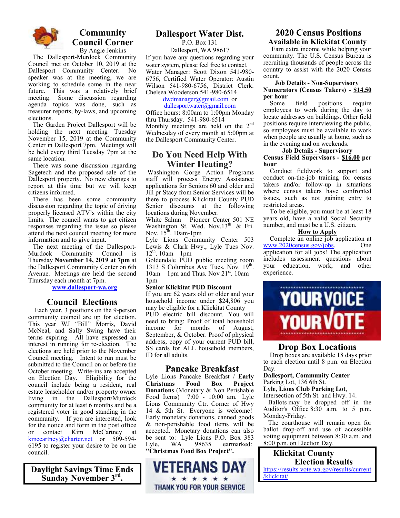

#### **Community Council Corner**  By Angie Jenkins

The Dallesport-Murdock Community Council met on October 10, 2019 at the Dallesport Community Center. No speaker was at the meeting, we are working to schedule some in the near future. This was a relatively brief meeting. Some discussion regarding agenda topics was done, such as treasurer reports, by-laws, and upcoming elections.

The Garden Project Dallesport will be holding the next meeting Tuesday November 15, 2019 at the Community Center in Dallesport 7pm. Meetings will be held every third Tuesday 7pm at the same location.

There was some discussion regarding Sagetech and the proposed sale of the Dallesport property. No new changes to report at this time but we will keep citizens informed.

There has been some community discussion regarding the topic of driving properly licensed ATV's within the city limits. The council wants to get citizen responses regarding the issue so please attend the next council meeting for more information and to give input.

The next meeting of the Dallesport-Murdock Community Council is Thursday **November 14, 2019 at 7pm** at the Dallesport Community Center on 6th Avenue. Meetings are held the second Thursday each month at 7pm.

**www.dallesport-wa.org**

#### **Council Elections**

 Each year, 3 positions on the 9-person community council are up for election. This year WJ "Bill" Morris, David McNeal, and Sally Swing have their terms expiring. All have expressed an interest in running for re-election. The elections are held prior to the November Council meeting. Intent to run must be submitted to the Council on or before the October meeting. Write-ins are accepted on Election Day. Eligibility for the council include being a resident, real estate leaseholder and/or property owner living in the Dallesport/Murdock community for at least 6 months and be a registered voter in good standing in the community. If you are interested, look for the notice and form in the post office<br>or contact Kim McCartney at or contact Kim McCartney at kmccartney@charter.net or 509-594-6195 to register your desire to be on the council.

**Daylight Savings Time Ends Sunday November 3rd .** 

### **Dallesport Water Dist.**

P.O. Box 131

Dallesport, WA 98617 If you have any questions regarding your water system, please feel free to contact. Water Manager: Scott Dixon 541-980- 6756, Certified Water Operator: Austin Wilson 541-980-6756, District Clerk: Chelsea Wooderson 541-980-6514

dwdmanager@gmail.com or

dallesportwater@gmail.com Office hours: 8:00am to 1:00pm Monday thru Thursday. 541-980-6514 Monthly meetings are held on the  $2<sup>nd</sup>$ Wednesday of every month at 5:00pm at the Dallesport Community Center.

## **Do You Need Help With Winter Heating?**

 Washington Gorge Action Programs staff will process Energy Assistance applications for Seniors 60 and older and Jill pr Stacy from Senior Services will be there to process Klickitat County PUD Senior discounts at the following locations during November.

White Salmn – Pioneer Center 501 NE Washington St. Wed. Nov.  $13<sup>th</sup>$ . & Fri. Nov.  $15^{\text{th}}$ . 10am-1pm

Lyle Lions Community Center 503 Lewis & Clark Hwy., Lyle Tues Nov.  $12^{th}$ . 10am – 1pm

Goldendale PUD public meeting room 1313 S Columbus Ave Tues. Nov. 19<sup>th</sup>.  $10$ am – 1pm and Thus. Nov  $21^{st}$ .  $10$ am – 1pm

#### **Senior Klickitat PUD Discount**

If you are 62 years old or older and your household income under \$24,806 you may be eligible for a Klickitat County PUD electric bill discount. You will need to bring: Proof of total household<br>income for months of August. income for months of August, September, & October. Proof of physical address, copy of your current PUD bill, SS cards for ALL household members, ID for all adults.

#### **Pancake Breakfast**

Lyle Lions Pancake Breakfast / **Early Christmas Food Box Project Donations** (Monetary & Non Perishable Food Items) 7:00 - 10:00 am. Lyle Lions Community Ctr. Corner of Hwy 14 & 5th St. Everyone is welcome! Early monetary donations, canned goods & non-perishable food items will be accepted. Monetary donations can also be sent to: Lyle Lions P.O. Box 383<br>Lyle. WA 98635 earmarked: Lyle, WA 98635 earmarked: **"Christmas Food Box Project".** 



#### **2020 Census Positions Available in Klickitat County**

 Earn extra income while helping your community. The U.S. Census Bureau is recruiting thousands of people across the country to assist with the 2020 Census count.

#### **Job Details - Non-Supervisory Numerators (Census Takers) - \$14.50 per hour**

 Some field positions require employees to work during the day to locate addresses on buildings. Other field positions require interviewing the public, so employees must be available to work when people are usually at home, such as in the evening and on weekends.

#### **Job Details - Supervisory Census Field Supervisors - \$16.00 per hour**

 Conduct fieldwork to support and conduct on-the-job training for census takers and/or follow-up in situations where census takers have confronted issues, such as not gaining entry to restricted areas.

 To be eligible, you must be at least 18 years old, have a valid Social Security number, and must be a U.S. citizen.

#### **How to Apply**

 Complete an online job application at www.2020census.gov/jobs. One application for all jobs! The application includes assessment questions about<br>vour education, work, and other your education, work, experience.



#### **Drop Box Locations**

 Drop boxes are available 18 days prior to each election until 8 p.m. on Election Day.

**Dallesport, Community Center**

Parking Lot, 136 6th St.

**Lyle, Lions Club Parking Lot**,

Intersection of 5th St. and Hwy. 14. Ballots may be dropped off in the Auditor's Office 8:30 a.m. to 5 p.m. Monday-Friday.

 The courthouse will remain open for ballot drop-off and use of accessible voting equipment between 8:30 a.m. and 8:00 p.m. on Election Day.

 **Klickitat County Election Results**  https://results.vote.wa.gov/results/current /klickitat/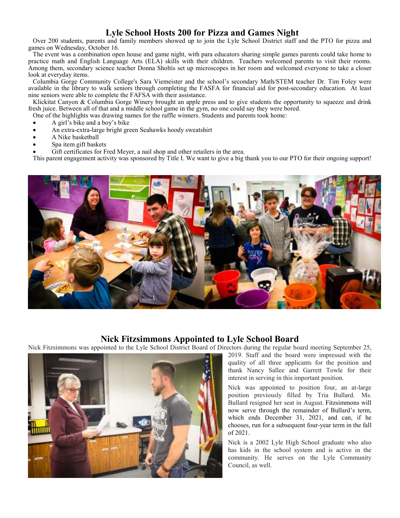## **Lyle School Hosts 200 for Pizza and Games Night**

Over 200 students, parents and family members showed up to join the Lyle School District staff and the PTO for pizza and games on Wednesday, October 16.

The event was a combination open house and game night, with para educators sharing simple games parents could take home to practice math and English Language Arts (ELA) skills with their children. Teachers welcomed parents to visit their rooms. Among them, secondary science teacher Donna Sholtis set up microscopes in her room and welcomed everyone to take a closer look at everyday items.

Columbia Gorge Community College's Sara Viemeister and the school's secondary Math/STEM teacher Dr. Tim Foley were available in the library to walk seniors through completing the FASFA for financial aid for post-secondary education. At least nine seniors were able to complete the FAFSA with their assistance.

Klickitat Canyon & Columbia Gorge Winery brought an apple press and to give students the opportunity to squeeze and drink fresh juice. Between all of that and a middle school game in the gym, no one could say they were bored.

One of the highlights was drawing names for the raffle winners. Students and parents took home:

- A girl's bike and a boy's bike
- An extra-extra-large bright green Seahawks hoody sweatshirt
- A Nike basketball
- Spa item gift baskets
- Gift certificates for Fred Meyer, a nail shop and other retailers in the area.

This parent engagement activity was sponsored by Title I. We want to give a big thank you to our PTO for their ongoing support!



#### **Nick Fitzsimmons Appointed to Lyle School Board**

Nick Fitzsimmons was appointed to the Lyle School District Board of Directors during the regular board meeting September 25,



2019. Staff and the board were impressed with the quality of all three applicants for the position and thank Nancy Sallee and Garrett Towle for their interest in serving in this important position.

Nick was appointed to position four, an at-large position previously filled by Tria Bullard. Ms. Bullard resigned her seat in August. Fitzsimmons will now serve through the remainder of Bullard's term, which ends December 31, 2021, and can, if he chooses, run for a subsequent four-year term in the fall of 2021.

Nick is a 2002 Lyle High School graduate who also has kids in the school system and is active in the community. He serves on the Lyle Community Council, as well.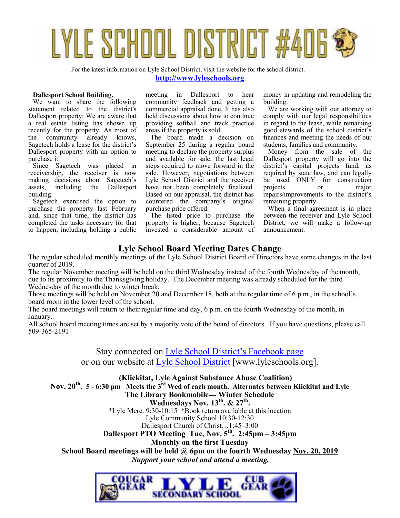

For the latest information on Lyle School District, visit the website for the school district.

#### **http://www.lyleschools.org**

#### **Dallesport School Building.**

We want to share the following statement related to the district's Dallesport property: We are aware that a real estate listing has shown up recently for the property. As most of the community already knows, Sagetech holds a lease for the district's Dallesport property with an option to purchase it.

Since Sagetech was placed in receivership, the receiver is now making decisions about Sagetech's<br>assets, including the Dallesport assets, including the Dallesport building.

Sagetech exercised the option to purchase the property last February and, since that time, the district has completed the tasks necessary for that to happen, including holding a public

meeting in Dallesport to hear community feedback and getting a commercial appraisal done. It has also held discussions about how to continue providing softball and track practice areas if the property is sold.

The board made a decision on September 25 during a regular board meeting to declare the property surplus and available for sale, the last legal steps required to move forward in the sale. However, negotiations between Lyle School District and the receiver have not been completely finalized. Based on our appraisal, the district has countered the company's original purchase price offered.

The listed price to purchase the property is higher, because Sagetech invested a considerable amount of money in updating and remodeling the building.

We are working with our attorney to comply with our legal responsibilities in regard to the lease, while remaining good stewards of the school district's finances and meeting the needs of our students, families and community.

Money from the sale of the Dallesport property will go into the district's capital projects fund, as required by state law, and can legally be used ONLY for construction projects or major repairs/improvements to the district's remaining property.

When a final agreement is in place between the receiver and Lyle School District, we will make a follow-up announcement.

#### **Lyle School Board Meeting Dates Change**

The regular scheduled monthly meetings of the Lyle School District Board of Directors have some changes in the last quarter of 2019.

The regular November meeting will be held on the third Wednesday instead of the fourth Wednesday of the month, due to its proximity to the Thanksgiving holiday. The December meeting was already scheduled for the third Wednesday of the month due to winter break.

Those meetings will be held on November 20 and December 18, both at the regular time of 6 p.m., in the school's board room in the lower level of the school.

The board meetings will return to their regular time and day, 6 p.m. on the fourth Wednesday of the month, in January.

All school board meeting times are set by a majority vote of the board of directors. If you have questions, please call 509-365-2191

Stay connected on Lyle School District's Facebook page

or on our website at Lyle School District [www.lyleschools.org].

 **(Klickitat, Lyle Against Substance Abuse Coalition) Nov. 20th . 5 - 6:30 pm Meets the 3rd Wed of each month. Alternates between Klickitat and Lyle The Library Bookmobile--- Winter Schedule Wednesdays Nov. 13th. & 27th .**  \*Lyle Merc. 9:30-10:15 \*Book return available at this location Lyle Community School 10:30-12:30 Dallesport Church of Christ…1:45–3:00 **Dallesport PTO Meeting Tue, Nov. 5th. 2:45pm – 3:45pm Monthly on the first Tuesday School Board meetings will be held @ 6pm on the fourth Wednesday Nov. 20, 2019**  *Support your school and attend a meeting.* 

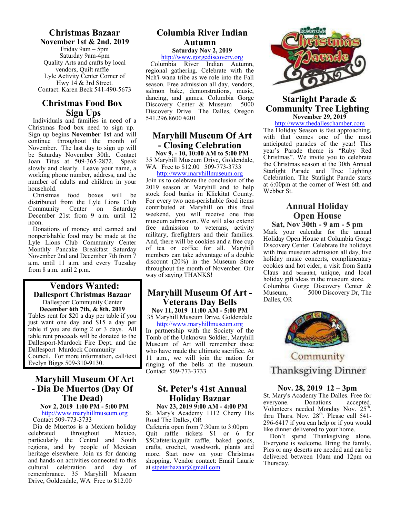## **Christmas Bazaar**

**November 1st & 2nd. 2019**  Friday 9am – 5pm Saturday 9am-4pm Quality Arts and crafts by local vendors, Quilt raffle Lyle Activity Center Corner of Hwy 14 & 3rd Street. Contact: Karen Beck 541-490-5673

## **Christmas Food Box Sign Ups**

Individuals and families in need of a Christmas food box need to sign up. Sign up begins **November 1st** and will continue throughout the month of November. The last day to sign up will be Saturday November 30th. Contact Joan Titus at 509-365-2872. Speak slowly and clearly. Leave your name, a working phone number, address, and the number of adults and children in your household.<br>Christmas

food boxes will be distributed from the Lyle Lions Club<br>Community Center on Saturday Center on December 21st from 9 a.m. until 12 noon.

Donations of money and canned and nonperishable food may be made at the Lyle Lions Club Community Center Monthly Pancake Breakfast Saturday November 2nd and December 7th from 7 a.m. until 11 a.m. and every Tuesday from 8 a.m. until 2 p.m.

#### **Vendors Wanted: Dallesport Christmas Bazaar**  Dallesport Community Center **December 6th 7th, & 8th. 2019**

Tables rent for \$20 a day per table if you just want one day and \$15 a day per table if you are doing 2 or 3 days. All table rent proceeds will be donated to the Dallesport-Murdock Fire Dept. and the Dallesport–Murdock Community Council. For more information, call/text Evelyn Biggs 509-310-9130.

## **Maryhill Museum Of Art - Dia De Muertos (Day Of The Dead)**

**Nov 2, 2019 1:00 PM - 5:00 PM**  http://www.maryhillmuseum.org

Contact 509-773-3733

Dia de Muertos is a Mexican holiday celebrated throughout Mexico, particularly the Central and South regions, and by people of Mexican heritage elsewhere. Join us for dancing and hands-on activities connected to this cultural celebration and day of remembrance. 35 Maryhill Museum Drive, Goldendale, WA Free to \$12.00

#### **Columbia River Indian Autumn Saturday Nov 2, 2019**

http://www.gorgediscovery.org

Columbia River Indian Autumn, regional gathering. Celebrate with the Nch'i-wana tribe as we role into the Fall season. Free admission all day, vendors, salmon bake, demonstrations, music, dancing, and games. Columbia Gorge<br>Discovery Center & Museum 5000 Discovery Center & Museum Discovery Drive The Dalles, Oregon 541.296.8600 #201

## **Maryhill Museum Of Art - Closing Celebration**

**Nov 9, - 10, 10:00 AM to 5:00 PM**  35 Maryhill Museum Drive, Goldendale, WA Free to \$12.00 509-773-3733

http://www.maryhillmuseum.org Join us to celebrate the conclusion of the 2019 season at Maryhill and to help stock food banks in Klickitat County. For every two non-perishable food items contributed at Maryhill on this final weekend, you will receive one free museum admission. We will also extend free admission to veterans, activity military, firefighters and their families. And, there will be cookies and a free cup of tea or coffee for all. Maryhill members can take advantage of a double discount (20%) in the Museum Store throughout the month of November. Our way of saying THANKS!

## **Maryhill Museum Of Art - Veterans Day Bells**

**Nov 11, 2019 11:00 AM - 5:00 PM**  35 Maryhill Museum Drive, Goldendale

http://www.maryhillmuseum.org In partnership with the Society of the Tomb of the Unknown Soldier, Maryhill Museum of Art will remember those who have made the ultimate sacrifice. At 11 a.m., we will join the nation for ringing of the bells at the museum. Contact 509-773-3733

## **St. Peter's 41st Annual Holiday Bazaar**

**Nov 23, 2019 9:00 AM - 4:00 PM**  St. Mary's Academy 1112 Cherry Hts Road The Dalles, OR

Cafeteria open from 7:30am to 3:00pm Quit raffle tickets \$1 or 6 for \$5Cafeteria,quilt raffle, baked goods, crafts, crochet, woodwork, plants and more. Start now on your Christmas shopping. Vendor contact: Email Laurie at stpeterbazaar@gmail.com



#### **Starlight Parade & Community Tree Lighting November 29, 2019**

http://www.thedalleschamber.com

The Holiday Season is fast approaching, with that comes one of the most anticipated parades of the year! This year's Parade theme is "Ruby Red Christmas". We invite you to celebrate the Christmas season at the 30th Annual Starlight Parade and Tree Lighting Celebration. The Starlight Parade starts at 6:00pm at the corner of West 6th and Webber St.

## **Annual Holiday Open House**

**Sat, Nov 30th - 9 am - 5 pm** Mark your calendar for the annual Holiday Open House at Columbia Gorge Discovery Center. Celebrate the holidays with free museum admission all day, live holiday music concerts, complimentary cookies and hot cider, a visit from Santa Claus and beautiful, unique, and local holiday gift ideas in the museum store. Columbia Gorge Discovery Center &<br>Museum. 5000 Discovery Dr. The 5000 Discovery Dr, The Dalles, OR



Community **Thanksgiving Dinner** 

#### **Nov. 28, 2019 12 – 3pm**

St. Mary's Academy The Dalles. Free for everyone. Donations accepted. Volunteers needed Monday Nov. 25<sup>th</sup>. thru Thurs. Nov.  $28<sup>th</sup>$ . Please call 541-296-6417 if you can help or if you would like dinner delivered to your home.

 Don't spend Thanksgiving alone. Everyone is welcome. Bring the family. Pies or any deserts are needed and can be delivered between 10am and 12pm on Thursday.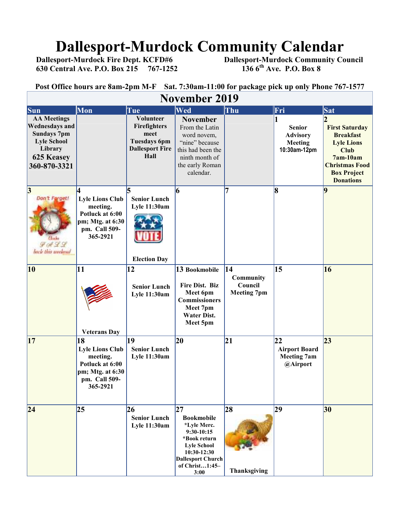# **Dallesport-Murdock Community Calendar**<br>Dallesport-Murdock Fire Dept. KCFD#6 Dallesport-Murdock Community Co

**630 Central Ave. P.O. Box 215 767-1252** 

 **Dallesport-Murdock Community Council 136 6<sup>th</sup> Ave. P.O. Box 8** 

| Sat. 7:30am-11:00 for package pick up only Phone 767-1577<br>Post Office hours are 8am-2pm M-F                                   |                                                                                                              |                                                                                            |                                                                                                                                                                   |                                                  |                                                              |                                                                                                                                                                |  |  |  |
|----------------------------------------------------------------------------------------------------------------------------------|--------------------------------------------------------------------------------------------------------------|--------------------------------------------------------------------------------------------|-------------------------------------------------------------------------------------------------------------------------------------------------------------------|--------------------------------------------------|--------------------------------------------------------------|----------------------------------------------------------------------------------------------------------------------------------------------------------------|--|--|--|
| <b>November 2019</b>                                                                                                             |                                                                                                              |                                                                                            |                                                                                                                                                                   |                                                  |                                                              |                                                                                                                                                                |  |  |  |
| Sun                                                                                                                              | Mon                                                                                                          | Tue                                                                                        | Wed                                                                                                                                                               | Thu                                              | Fri                                                          | Sat                                                                                                                                                            |  |  |  |
| <b>AA Meetings</b><br><b>Wednesdays and</b><br><b>Sundays 7pm</b><br><b>Lyle School</b><br>Library<br>625 Keasey<br>360-870-3321 |                                                                                                              | Volunteer<br>Firefighters<br>meet<br><b>Tuesdays 6pm</b><br><b>Dallesport Fire</b><br>Hall | <b>November</b><br>From the Latin<br>word novem,<br>"nine" because<br>this had been the<br>ninth month of<br>the early Roman<br>calendar.                         |                                                  | <b>Senior</b><br><b>Advisory</b><br>Meeting<br>10:30am-12pm  | <b>First Saturday</b><br><b>Breakfast</b><br><b>Lyle Lions</b><br><b>Club</b><br>$7am-10am$<br><b>Christmas Food</b><br><b>Box Project</b><br><b>Donations</b> |  |  |  |
| 3 <br>Don't Forget!<br>9422<br>back this workend                                                                                 | <b>Lyle Lions Club</b><br>meeting.<br>Potluck at 6:00<br>pm; Mtg. at 6:30<br>pm. Call 509-<br>365-2921       | <b>Senior Lunch</b><br><b>Lyle 11:30am</b><br><b>Election Day</b>                          | 6                                                                                                                                                                 |                                                  | 8                                                            | 9                                                                                                                                                              |  |  |  |
| 10                                                                                                                               | 11<br><b>Veterans Day</b>                                                                                    | 12<br><b>Senior Lunch</b><br><b>Lyle 11:30am</b>                                           | 13 Bookmobile<br>Fire Dist. Biz<br>Meet 6pm<br><b>Commissioners</b><br>Meet 7pm<br><b>Water Dist.</b><br>Meet 5pm                                                 | 14<br>Community<br>Council<br><b>Meeting 7pm</b> | 15                                                           | 16                                                                                                                                                             |  |  |  |
| 17                                                                                                                               | 18<br><b>Lyle Lions Club</b><br>meeting.<br>Potluck at 6:00<br>pm; Mtg. at 6:30<br>pm. Call 509-<br>365-2921 | 19<br><b>Senior Lunch</b><br><b>Lyle 11:30am</b>                                           | 20                                                                                                                                                                | 21                                               | 22<br><b>Airport Board</b><br><b>Meeting 7am</b><br>@Airport | 23                                                                                                                                                             |  |  |  |
| 24                                                                                                                               | 25                                                                                                           | 26<br><b>Senior Lunch</b><br><b>Lyle 11:30am</b>                                           | 27<br><b>Bookmobile</b><br>*Lyle Merc.<br>$9:30-10:15$<br>*Book return<br><b>Lyle School</b><br>10:30-12:30<br><b>Dallesport Church</b><br>of Christ1:45-<br>3:00 | 28<br>Thanksgiving                               | 29                                                           | 30                                                                                                                                                             |  |  |  |